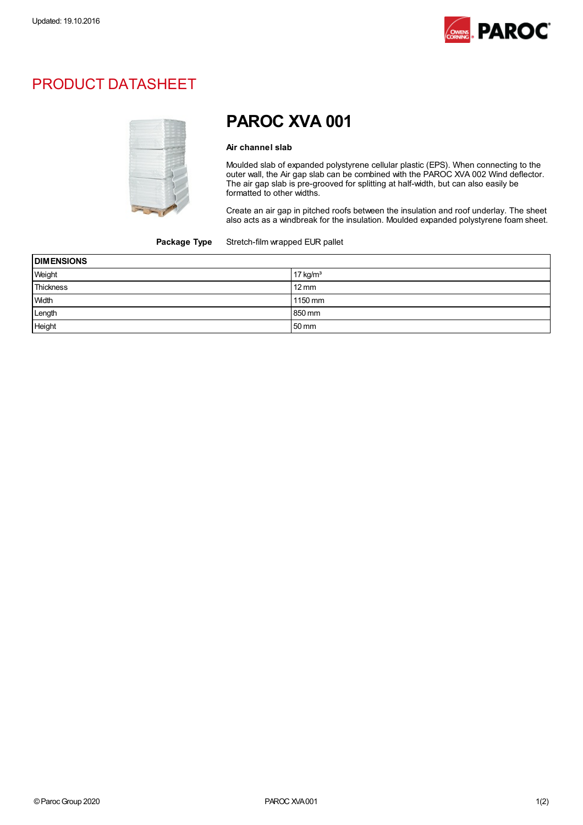

## PRODUCT DATASHEET



# PAROC XVA 001

#### Air channel slab

Moulded slab of expanded polystyrene cellular plastic (EPS). When connecting to the outer wall, the Air gap slab can be combined with the PAROC XVA 002 Wind deflector. The air gap slab is pre-grooved for splitting at half-width, but can also easily be formatted to other widths.

Create an air gap in pitched roofs between the insulation and roof underlay. The sheet also acts as a windbreak for the insulation. Moulded expanded polystyrene foam sheet.

#### Package Type Stretch-film wrapped EUR pallet

| <b>DIMENSIONS</b> |                 |  |
|-------------------|-----------------|--|
| Weight            | 17 kg/ $m3$     |  |
| Thickness         | $12 \text{ mm}$ |  |
| <b>Width</b>      | 1150 mm         |  |
| Length            | 850 mm          |  |
| Height            | 50 mm           |  |